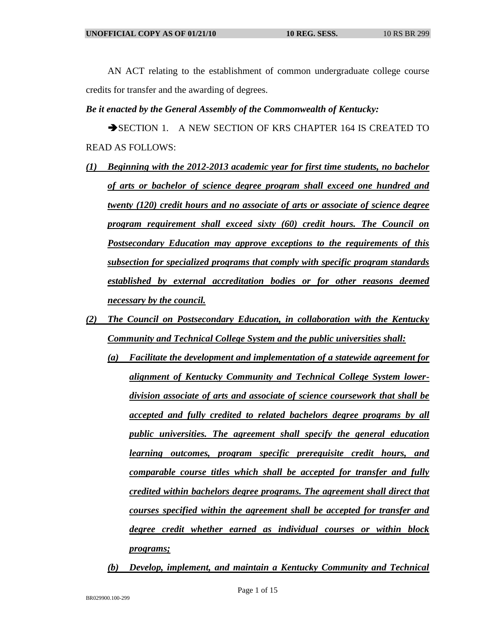AN ACT relating to the establishment of common undergraduate college course credits for transfer and the awarding of degrees.

*Be it enacted by the General Assembly of the Commonwealth of Kentucky:*

SECTION 1. A NEW SECTION OF KRS CHAPTER 164 IS CREATED TO READ AS FOLLOWS:

- *(1) Beginning with the 2012-2013 academic year for first time students, no bachelor of arts or bachelor of science degree program shall exceed one hundred and twenty (120) credit hours and no associate of arts or associate of science degree program requirement shall exceed sixty (60) credit hours. The Council on Postsecondary Education may approve exceptions to the requirements of this subsection for specialized programs that comply with specific program standards established by external accreditation bodies or for other reasons deemed necessary by the council.*
- *(2) The Council on Postsecondary Education, in collaboration with the Kentucky Community and Technical College System and the public universities shall:*
	- *(a) Facilitate the development and implementation of a statewide agreement for alignment of Kentucky Community and Technical College System lowerdivision associate of arts and associate of science coursework that shall be accepted and fully credited to related bachelors degree programs by all public universities. The agreement shall specify the general education learning outcomes, program specific prerequisite credit hours, and comparable course titles which shall be accepted for transfer and fully credited within bachelors degree programs. The agreement shall direct that courses specified within the agreement shall be accepted for transfer and degree credit whether earned as individual courses or within block programs;*
	- *(b) Develop, implement, and maintain a Kentucky Community and Technical*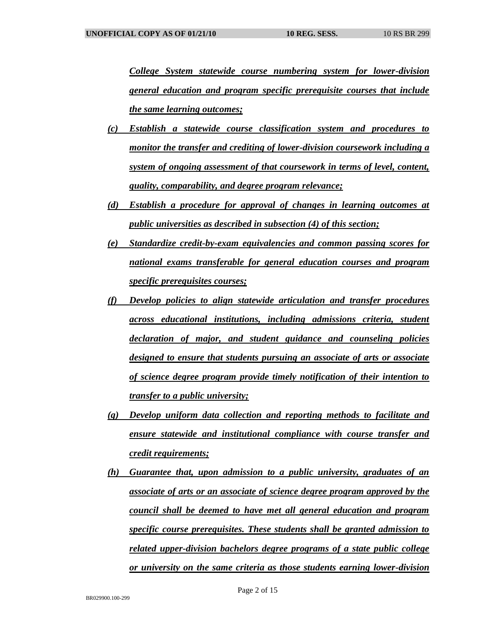*College System statewide course numbering system for lower-division general education and program specific prerequisite courses that include the same learning outcomes;*

- *(c) Establish a statewide course classification system and procedures to monitor the transfer and crediting of lower-division coursework including a system of ongoing assessment of that coursework in terms of level, content, quality, comparability, and degree program relevance;*
- *(d) Establish a procedure for approval of changes in learning outcomes at public universities as described in subsection (4) of this section;*
- *(e) Standardize credit-by-exam equivalencies and common passing scores for national exams transferable for general education courses and program specific prerequisites courses;*
- *(f) Develop policies to align statewide articulation and transfer procedures across educational institutions, including admissions criteria, student declaration of major, and student guidance and counseling policies designed to ensure that students pursuing an associate of arts or associate of science degree program provide timely notification of their intention to transfer to a public university;*
- *(g) Develop uniform data collection and reporting methods to facilitate and ensure statewide and institutional compliance with course transfer and credit requirements;*
- *(h) Guarantee that, upon admission to a public university, graduates of an associate of arts or an associate of science degree program approved by the council shall be deemed to have met all general education and program specific course prerequisites. These students shall be granted admission to related upper-division bachelors degree programs of a state public college or university on the same criteria as those students earning lower-division*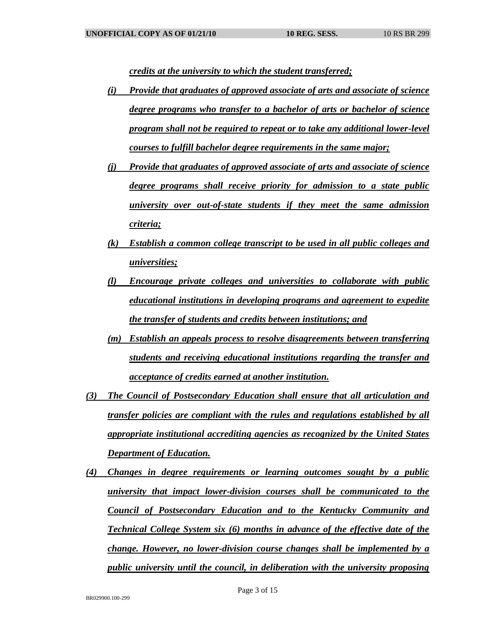*credits at the university to which the student transferred;*

- *(i) Provide that graduates of approved associate of arts and associate of science degree programs who transfer to a bachelor of arts or bachelor of science program shall not be required to repeat or to take any additional lower-level courses to fulfill bachelor degree requirements in the same major;*
- *(j) Provide that graduates of approved associate of arts and associate of science degree programs shall receive priority for admission to a state public university over out-of-state students if they meet the same admission criteria;*
- *(k) Establish a common college transcript to be used in all public colleges and universities;*
- *(l) Encourage private colleges and universities to collaborate with public educational institutions in developing programs and agreement to expedite the transfer of students and credits between institutions; and*
- *(m) Establish an appeals process to resolve disagreements between transferring students and receiving educational institutions regarding the transfer and acceptance of credits earned at another institution.*
- *(3) The Council of Postsecondary Education shall ensure that all articulation and transfer policies are compliant with the rules and regulations established by all appropriate institutional accrediting agencies as recognized by the United States Department of Education.*
- *(4) Changes in degree requirements or learning outcomes sought by a public university that impact lower-division courses shall be communicated to the Council of Postsecondary Education and to the Kentucky Community and Technical College System six (6) months in advance of the effective date of the change. However, no lower-division course changes shall be implemented by a public university until the council, in deliberation with the university proposing*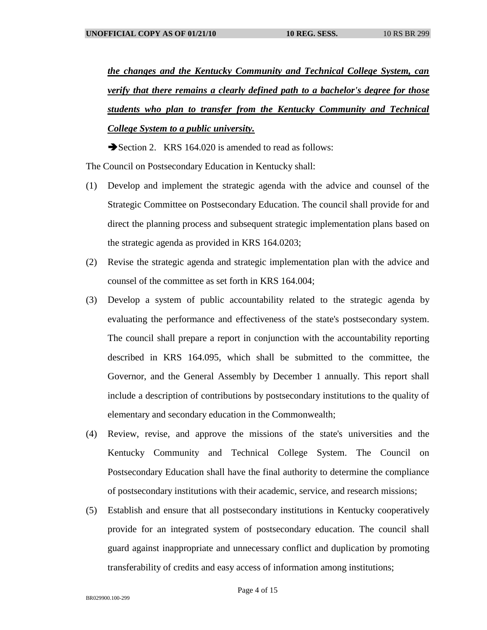*the changes and the Kentucky Community and Technical College System, can verify that there remains a clearly defined path to a bachelor's degree for those students who plan to transfer from the Kentucky Community and Technical College System to a public university.*

Section 2. KRS 164.020 is amended to read as follows:

The Council on Postsecondary Education in Kentucky shall:

- (1) Develop and implement the strategic agenda with the advice and counsel of the Strategic Committee on Postsecondary Education. The council shall provide for and direct the planning process and subsequent strategic implementation plans based on the strategic agenda as provided in KRS 164.0203;
- (2) Revise the strategic agenda and strategic implementation plan with the advice and counsel of the committee as set forth in KRS 164.004;
- (3) Develop a system of public accountability related to the strategic agenda by evaluating the performance and effectiveness of the state's postsecondary system. The council shall prepare a report in conjunction with the accountability reporting described in KRS 164.095, which shall be submitted to the committee, the Governor, and the General Assembly by December 1 annually. This report shall include a description of contributions by postsecondary institutions to the quality of elementary and secondary education in the Commonwealth;
- (4) Review, revise, and approve the missions of the state's universities and the Kentucky Community and Technical College System. The Council on Postsecondary Education shall have the final authority to determine the compliance of postsecondary institutions with their academic, service, and research missions;
- (5) Establish and ensure that all postsecondary institutions in Kentucky cooperatively provide for an integrated system of postsecondary education. The council shall guard against inappropriate and unnecessary conflict and duplication by promoting transferability of credits and easy access of information among institutions;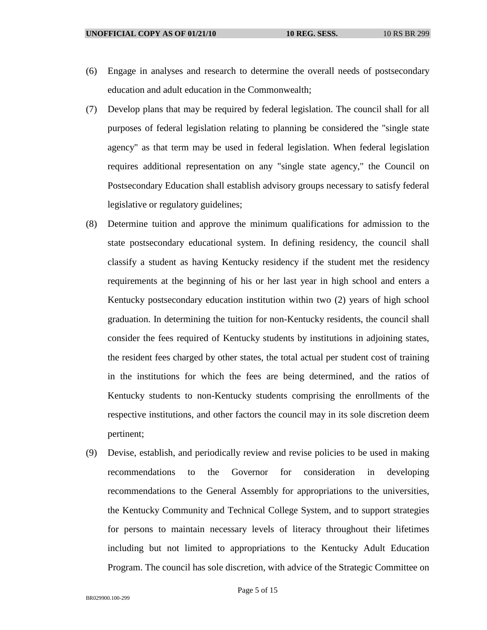- (6) Engage in analyses and research to determine the overall needs of postsecondary education and adult education in the Commonwealth;
- (7) Develop plans that may be required by federal legislation. The council shall for all purposes of federal legislation relating to planning be considered the "single state agency" as that term may be used in federal legislation. When federal legislation requires additional representation on any "single state agency," the Council on Postsecondary Education shall establish advisory groups necessary to satisfy federal legislative or regulatory guidelines;
- (8) Determine tuition and approve the minimum qualifications for admission to the state postsecondary educational system. In defining residency, the council shall classify a student as having Kentucky residency if the student met the residency requirements at the beginning of his or her last year in high school and enters a Kentucky postsecondary education institution within two (2) years of high school graduation. In determining the tuition for non-Kentucky residents, the council shall consider the fees required of Kentucky students by institutions in adjoining states, the resident fees charged by other states, the total actual per student cost of training in the institutions for which the fees are being determined, and the ratios of Kentucky students to non-Kentucky students comprising the enrollments of the respective institutions, and other factors the council may in its sole discretion deem pertinent;
- (9) Devise, establish, and periodically review and revise policies to be used in making recommendations to the Governor for consideration in developing recommendations to the General Assembly for appropriations to the universities, the Kentucky Community and Technical College System, and to support strategies for persons to maintain necessary levels of literacy throughout their lifetimes including but not limited to appropriations to the Kentucky Adult Education Program. The council has sole discretion, with advice of the Strategic Committee on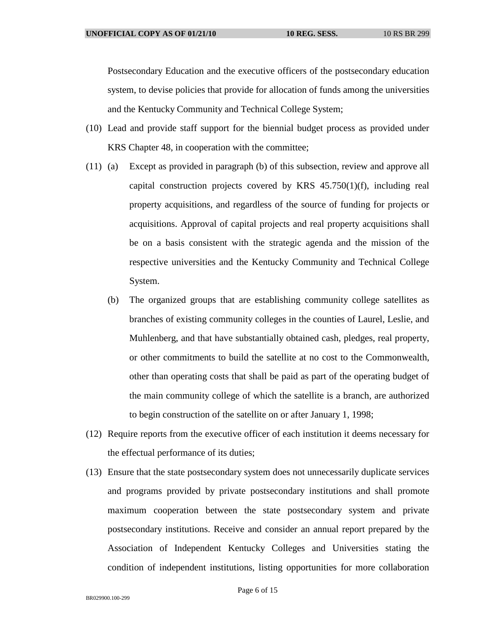Postsecondary Education and the executive officers of the postsecondary education system, to devise policies that provide for allocation of funds among the universities and the Kentucky Community and Technical College System;

- (10) Lead and provide staff support for the biennial budget process as provided under KRS Chapter 48, in cooperation with the committee;
- (11) (a) Except as provided in paragraph (b) of this subsection, review and approve all capital construction projects covered by KRS 45.750(1)(f), including real property acquisitions, and regardless of the source of funding for projects or acquisitions. Approval of capital projects and real property acquisitions shall be on a basis consistent with the strategic agenda and the mission of the respective universities and the Kentucky Community and Technical College System.
	- (b) The organized groups that are establishing community college satellites as branches of existing community colleges in the counties of Laurel, Leslie, and Muhlenberg, and that have substantially obtained cash, pledges, real property, or other commitments to build the satellite at no cost to the Commonwealth, other than operating costs that shall be paid as part of the operating budget of the main community college of which the satellite is a branch, are authorized to begin construction of the satellite on or after January 1, 1998;
- (12) Require reports from the executive officer of each institution it deems necessary for the effectual performance of its duties;
- (13) Ensure that the state postsecondary system does not unnecessarily duplicate services and programs provided by private postsecondary institutions and shall promote maximum cooperation between the state postsecondary system and private postsecondary institutions. Receive and consider an annual report prepared by the Association of Independent Kentucky Colleges and Universities stating the condition of independent institutions, listing opportunities for more collaboration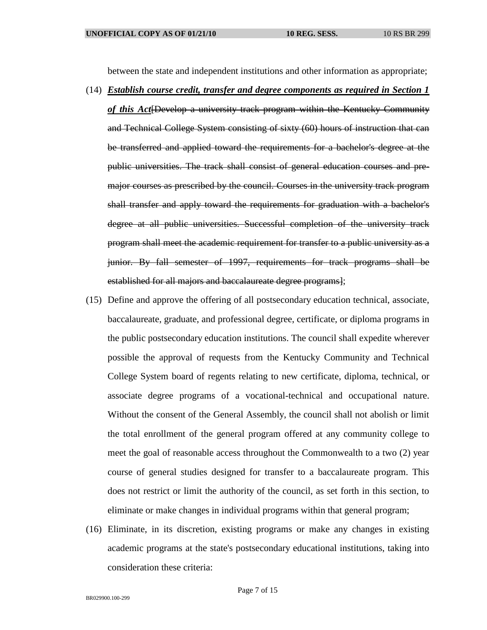between the state and independent institutions and other information as appropriate;

(14) *Establish course credit, transfer and degree components as required in Section 1* 

*of this Act*[Develop a university track program within the Kentucky Community and Technical College System consisting of sixty (60) hours of instruction that can be transferred and applied toward the requirements for a bachelor's degree at the public universities. The track shall consist of general education courses and premajor courses as prescribed by the council. Courses in the university track program shall transfer and apply toward the requirements for graduation with a bachelor's degree at all public universities. Successful completion of the university track program shall meet the academic requirement for transfer to a public university as a junior. By fall semester of 1997, requirements for track programs shall be established for all majors and baccalaureate degree programs];

- (15) Define and approve the offering of all postsecondary education technical, associate, baccalaureate, graduate, and professional degree, certificate, or diploma programs in the public postsecondary education institutions. The council shall expedite wherever possible the approval of requests from the Kentucky Community and Technical College System board of regents relating to new certificate, diploma, technical, or associate degree programs of a vocational-technical and occupational nature. Without the consent of the General Assembly, the council shall not abolish or limit the total enrollment of the general program offered at any community college to meet the goal of reasonable access throughout the Commonwealth to a two (2) year course of general studies designed for transfer to a baccalaureate program. This does not restrict or limit the authority of the council, as set forth in this section, to eliminate or make changes in individual programs within that general program;
- (16) Eliminate, in its discretion, existing programs or make any changes in existing academic programs at the state's postsecondary educational institutions, taking into consideration these criteria: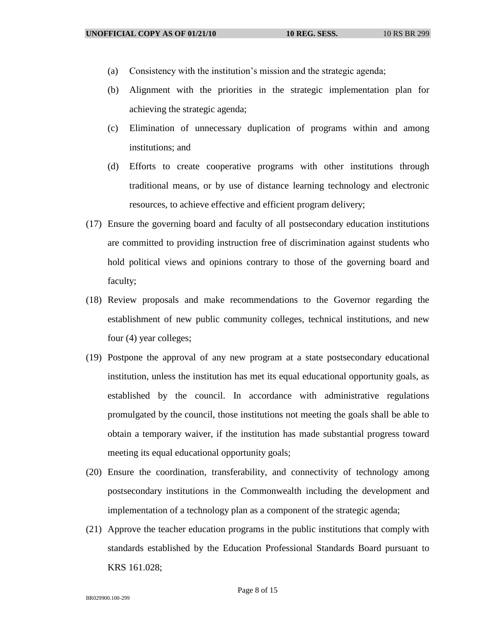- (a) Consistency with the institution's mission and the strategic agenda;
- (b) Alignment with the priorities in the strategic implementation plan for achieving the strategic agenda;
- (c) Elimination of unnecessary duplication of programs within and among institutions; and
- (d) Efforts to create cooperative programs with other institutions through traditional means, or by use of distance learning technology and electronic resources, to achieve effective and efficient program delivery;
- (17) Ensure the governing board and faculty of all postsecondary education institutions are committed to providing instruction free of discrimination against students who hold political views and opinions contrary to those of the governing board and faculty;
- (18) Review proposals and make recommendations to the Governor regarding the establishment of new public community colleges, technical institutions, and new four (4) year colleges;
- (19) Postpone the approval of any new program at a state postsecondary educational institution, unless the institution has met its equal educational opportunity goals, as established by the council. In accordance with administrative regulations promulgated by the council, those institutions not meeting the goals shall be able to obtain a temporary waiver, if the institution has made substantial progress toward meeting its equal educational opportunity goals;
- (20) Ensure the coordination, transferability, and connectivity of technology among postsecondary institutions in the Commonwealth including the development and implementation of a technology plan as a component of the strategic agenda;
- (21) Approve the teacher education programs in the public institutions that comply with standards established by the Education Professional Standards Board pursuant to KRS 161.028;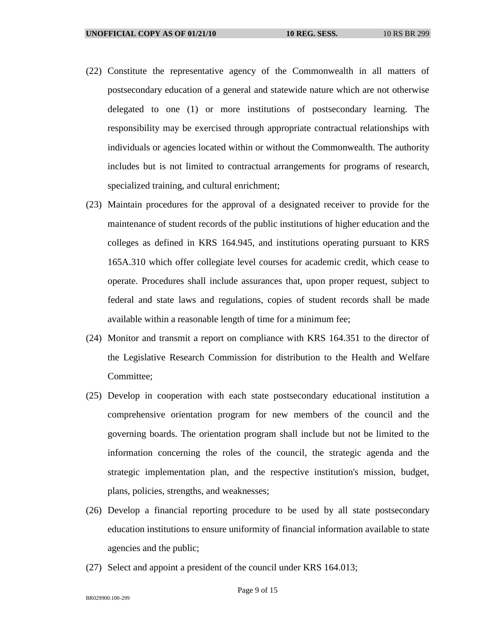- (22) Constitute the representative agency of the Commonwealth in all matters of postsecondary education of a general and statewide nature which are not otherwise delegated to one (1) or more institutions of postsecondary learning. The responsibility may be exercised through appropriate contractual relationships with individuals or agencies located within or without the Commonwealth. The authority includes but is not limited to contractual arrangements for programs of research, specialized training, and cultural enrichment;
- (23) Maintain procedures for the approval of a designated receiver to provide for the maintenance of student records of the public institutions of higher education and the colleges as defined in KRS 164.945, and institutions operating pursuant to KRS 165A.310 which offer collegiate level courses for academic credit, which cease to operate. Procedures shall include assurances that, upon proper request, subject to federal and state laws and regulations, copies of student records shall be made available within a reasonable length of time for a minimum fee;
- (24) Monitor and transmit a report on compliance with KRS 164.351 to the director of the Legislative Research Commission for distribution to the Health and Welfare Committee;
- (25) Develop in cooperation with each state postsecondary educational institution a comprehensive orientation program for new members of the council and the governing boards. The orientation program shall include but not be limited to the information concerning the roles of the council, the strategic agenda and the strategic implementation plan, and the respective institution's mission, budget, plans, policies, strengths, and weaknesses;
- (26) Develop a financial reporting procedure to be used by all state postsecondary education institutions to ensure uniformity of financial information available to state agencies and the public;
- (27) Select and appoint a president of the council under KRS 164.013;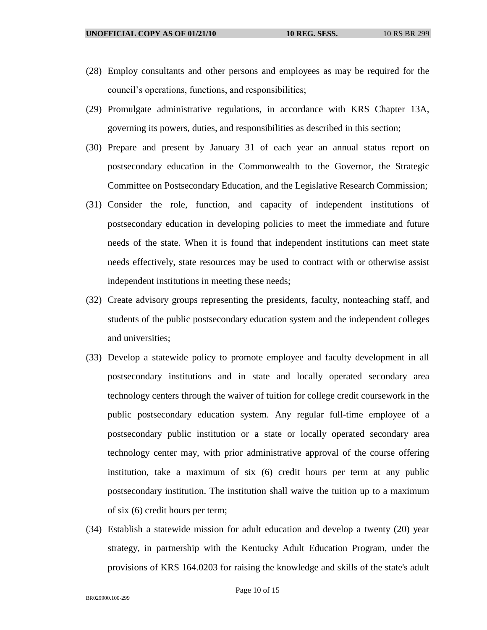- (28) Employ consultants and other persons and employees as may be required for the council's operations, functions, and responsibilities;
- (29) Promulgate administrative regulations, in accordance with KRS Chapter 13A, governing its powers, duties, and responsibilities as described in this section;
- (30) Prepare and present by January 31 of each year an annual status report on postsecondary education in the Commonwealth to the Governor, the Strategic Committee on Postsecondary Education, and the Legislative Research Commission;
- (31) Consider the role, function, and capacity of independent institutions of postsecondary education in developing policies to meet the immediate and future needs of the state. When it is found that independent institutions can meet state needs effectively, state resources may be used to contract with or otherwise assist independent institutions in meeting these needs;
- (32) Create advisory groups representing the presidents, faculty, nonteaching staff, and students of the public postsecondary education system and the independent colleges and universities;
- (33) Develop a statewide policy to promote employee and faculty development in all postsecondary institutions and in state and locally operated secondary area technology centers through the waiver of tuition for college credit coursework in the public postsecondary education system. Any regular full-time employee of a postsecondary public institution or a state or locally operated secondary area technology center may, with prior administrative approval of the course offering institution, take a maximum of six (6) credit hours per term at any public postsecondary institution. The institution shall waive the tuition up to a maximum of six (6) credit hours per term;
- (34) Establish a statewide mission for adult education and develop a twenty (20) year strategy, in partnership with the Kentucky Adult Education Program, under the provisions of KRS 164.0203 for raising the knowledge and skills of the state's adult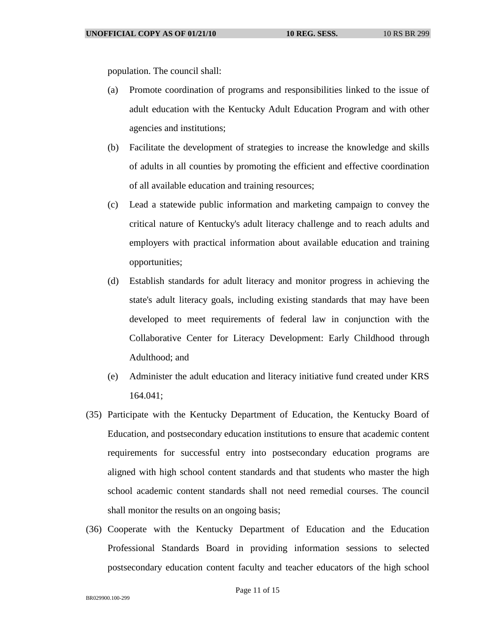population. The council shall:

- (a) Promote coordination of programs and responsibilities linked to the issue of adult education with the Kentucky Adult Education Program and with other agencies and institutions;
- (b) Facilitate the development of strategies to increase the knowledge and skills of adults in all counties by promoting the efficient and effective coordination of all available education and training resources;
- (c) Lead a statewide public information and marketing campaign to convey the critical nature of Kentucky's adult literacy challenge and to reach adults and employers with practical information about available education and training opportunities;
- (d) Establish standards for adult literacy and monitor progress in achieving the state's adult literacy goals, including existing standards that may have been developed to meet requirements of federal law in conjunction with the Collaborative Center for Literacy Development: Early Childhood through Adulthood; and
- (e) Administer the adult education and literacy initiative fund created under KRS 164.041;
- (35) Participate with the Kentucky Department of Education, the Kentucky Board of Education, and postsecondary education institutions to ensure that academic content requirements for successful entry into postsecondary education programs are aligned with high school content standards and that students who master the high school academic content standards shall not need remedial courses. The council shall monitor the results on an ongoing basis;
- (36) Cooperate with the Kentucky Department of Education and the Education Professional Standards Board in providing information sessions to selected postsecondary education content faculty and teacher educators of the high school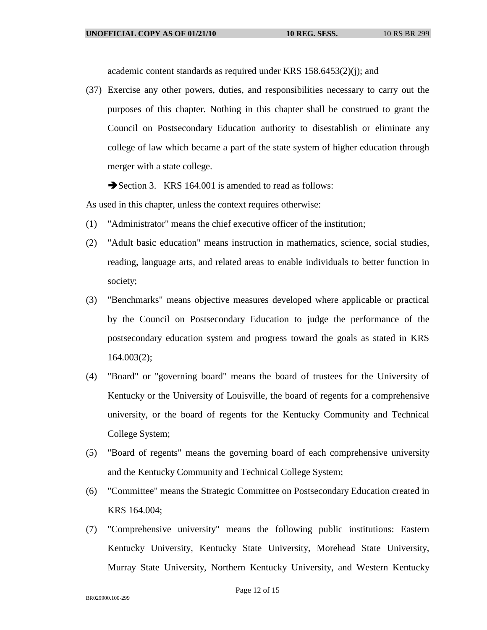academic content standards as required under KRS 158.6453(2)(j); and

(37) Exercise any other powers, duties, and responsibilities necessary to carry out the purposes of this chapter. Nothing in this chapter shall be construed to grant the Council on Postsecondary Education authority to disestablish or eliminate any college of law which became a part of the state system of higher education through merger with a state college.

Section 3. KRS 164.001 is amended to read as follows:

As used in this chapter, unless the context requires otherwise:

- (1) "Administrator" means the chief executive officer of the institution;
- (2) "Adult basic education" means instruction in mathematics, science, social studies, reading, language arts, and related areas to enable individuals to better function in society;
- (3) "Benchmarks" means objective measures developed where applicable or practical by the Council on Postsecondary Education to judge the performance of the postsecondary education system and progress toward the goals as stated in KRS 164.003(2);
- (4) "Board" or "governing board" means the board of trustees for the University of Kentucky or the University of Louisville, the board of regents for a comprehensive university, or the board of regents for the Kentucky Community and Technical College System;
- (5) "Board of regents" means the governing board of each comprehensive university and the Kentucky Community and Technical College System;
- (6) "Committee" means the Strategic Committee on Postsecondary Education created in KRS 164.004;
- (7) "Comprehensive university" means the following public institutions: Eastern Kentucky University, Kentucky State University, Morehead State University, Murray State University, Northern Kentucky University, and Western Kentucky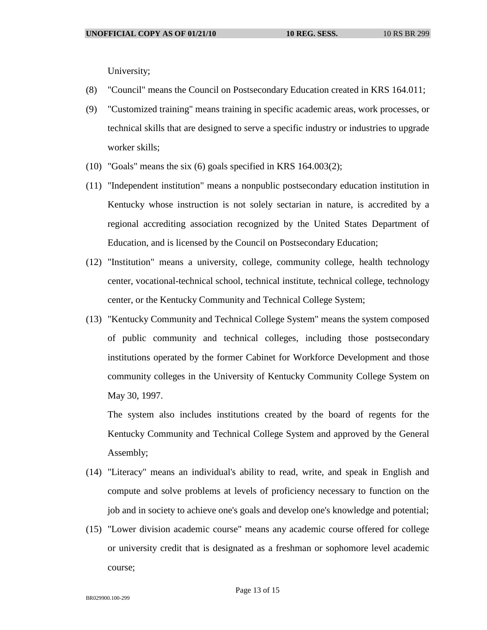University;

- (8) "Council" means the Council on Postsecondary Education created in KRS 164.011;
- (9) "Customized training" means training in specific academic areas, work processes, or technical skills that are designed to serve a specific industry or industries to upgrade worker skills;
- (10) "Goals" means the six (6) goals specified in KRS 164.003(2);
- (11) "Independent institution" means a nonpublic postsecondary education institution in Kentucky whose instruction is not solely sectarian in nature, is accredited by a regional accrediting association recognized by the United States Department of Education, and is licensed by the Council on Postsecondary Education;
- (12) "Institution" means a university, college, community college, health technology center, vocational-technical school, technical institute, technical college, technology center, or the Kentucky Community and Technical College System;
- (13) "Kentucky Community and Technical College System" means the system composed of public community and technical colleges, including those postsecondary institutions operated by the former Cabinet for Workforce Development and those community colleges in the University of Kentucky Community College System on May 30, 1997.

The system also includes institutions created by the board of regents for the Kentucky Community and Technical College System and approved by the General Assembly;

- (14) "Literacy" means an individual's ability to read, write, and speak in English and compute and solve problems at levels of proficiency necessary to function on the job and in society to achieve one's goals and develop one's knowledge and potential;
- (15) "Lower division academic course" means any academic course offered for college or university credit that is designated as a freshman or sophomore level academic course;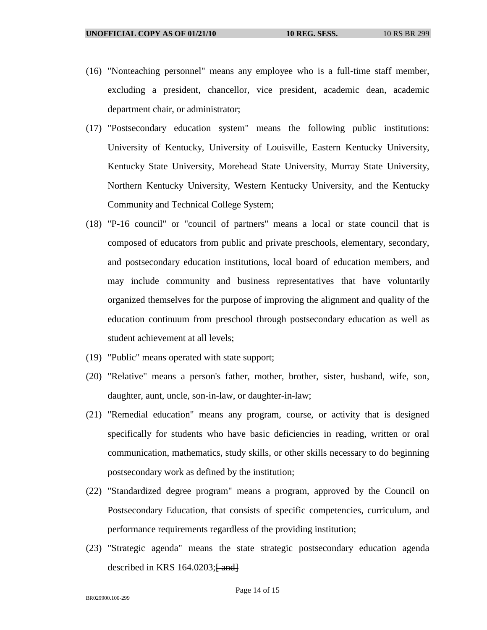- (16) "Nonteaching personnel" means any employee who is a full-time staff member, excluding a president, chancellor, vice president, academic dean, academic department chair, or administrator;
- (17) "Postsecondary education system" means the following public institutions: University of Kentucky, University of Louisville, Eastern Kentucky University, Kentucky State University, Morehead State University, Murray State University, Northern Kentucky University, Western Kentucky University, and the Kentucky Community and Technical College System;
- (18) "P-16 council" or "council of partners" means a local or state council that is composed of educators from public and private preschools, elementary, secondary, and postsecondary education institutions, local board of education members, and may include community and business representatives that have voluntarily organized themselves for the purpose of improving the alignment and quality of the education continuum from preschool through postsecondary education as well as student achievement at all levels;
- (19) "Public" means operated with state support;
- (20) "Relative" means a person's father, mother, brother, sister, husband, wife, son, daughter, aunt, uncle, son-in-law, or daughter-in-law;
- (21) "Remedial education" means any program, course, or activity that is designed specifically for students who have basic deficiencies in reading, written or oral communication, mathematics, study skills, or other skills necessary to do beginning postsecondary work as defined by the institution;
- (22) "Standardized degree program" means a program, approved by the Council on Postsecondary Education, that consists of specific competencies, curriculum, and performance requirements regardless of the providing institution;
- (23) "Strategic agenda" means the state strategic postsecondary education agenda described in KRS  $164.0203$ ;  $\frac{1}{2}$  and  $\frac{1}{2}$